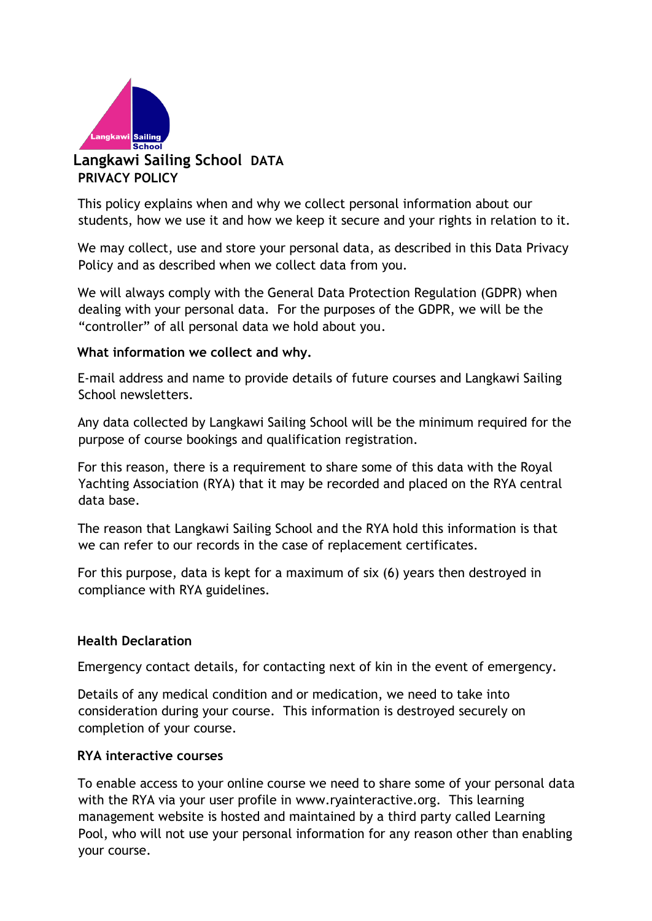

# **Langkawi Sailing School DATA PRIVACY POLICY**

This policy explains when and why we collect personal information about our students, how we use it and how we keep it secure and your rights in relation to it.

We may collect, use and store your personal data, as described in this Data Privacy Policy and as described when we collect data from you.

We will always comply with the General Data Protection Regulation (GDPR) when dealing with your personal data. For the purposes of the GDPR, we will be the "controller" of all personal data we hold about you.

### **What information we collect and why.**

E-mail address and name to provide details of future courses and Langkawi Sailing School newsletters.

Any data collected by Langkawi Sailing School will be the minimum required for the purpose of course bookings and qualification registration.

For this reason, there is a requirement to share some of this data with the Royal Yachting Association (RYA) that it may be recorded and placed on the RYA central data base.

The reason that Langkawi Sailing School and the RYA hold this information is that we can refer to our records in the case of replacement certificates.

For this purpose, data is kept for a maximum of six (6) years then destroyed in compliance with RYA guidelines.

### **Health Declaration**

Emergency contact details, for contacting next of kin in the event of emergency.

Details of any medical condition and or medication, we need to take into consideration during your course. This information is destroyed securely on completion of your course.

#### **RYA interactive courses**

To enable access to your online course we need to share some of your personal data with the RYA via your user profile in [www.ryainteractive.org. Th](http://www.ryainteractive.org/)is learning management website is hosted and maintained by a third party called Learning Pool, who will not use your personal information for any reason other than enabling your course.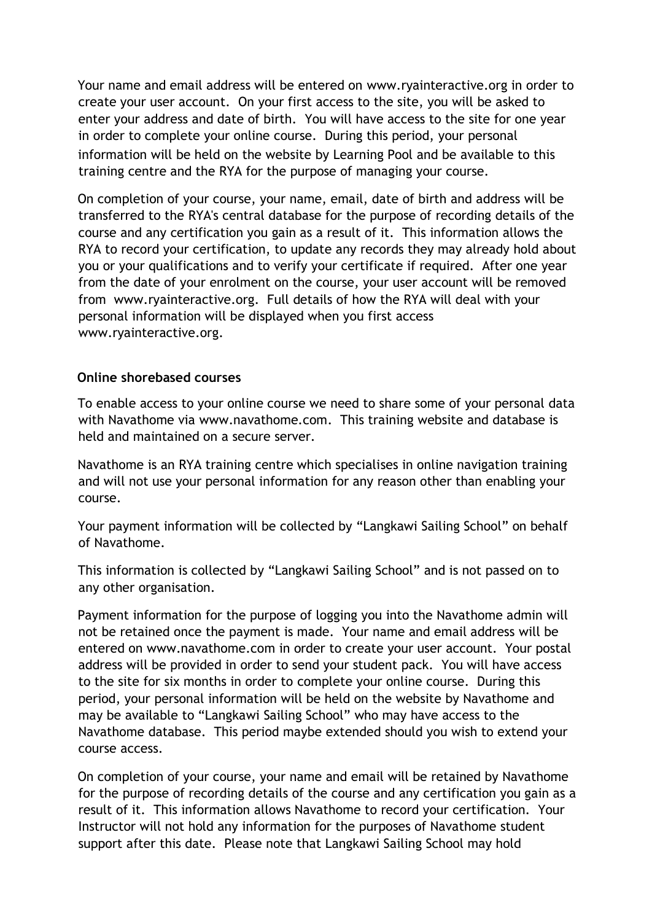Your name and email address will be entered on [www.ryainteractive.org](http://www.ryainteractive.org/) [in](http://www.ryainteractive.org/) order to create your user account. On your first access to the site, you will be asked to enter your address and date of birth. You will have access to the site for one year in order to complete your online course. During this period, your personal information will be held on the website by Learning Pool and be available to this training centre and the RYA for the purpose of managing your course.

On completion of your course, your name, email, date of birth and address will be transferred to the RYA's central database for the purpose of recording details of the course and any certification you gain as a result of it. This information allows the RYA to record your certification, to update any records they may already hold about you or your qualifications and to verify your certificate if required. After one year from the date of your enrolment on the course, your user account will be removed from www.ryainteractive.org. Full details of how the RYA will deal with your personal information will be displayed when you first access [www.ryainteractive.org.](http://www.ryainteractive.org/)

## **Online shorebased courses**

To enable access to your online course we need to share some of your personal data with Navathome vi[a](http://www.navathome.com/) [www.navathome.com. Th](http://www.navathome.com/)is training website and database is held and maintained on a secure server.

Navathome is an RYA training centre which specialises in online navigation training and will not use your personal information for any reason other than enabling your course.

Your payment information will be collected by "Langkawi Sailing School" on behalf of Navathome.

This information is collected by "Langkawi Sailing School" and is not passed on to any other organisation.

Payment information for the purpose of logging you into the Navathome admin will not be retained once the payment is made. Your name and email address will be entered on [www.navathome.com](http://www.navathome.com/) [in](http://www.navathome.com/) order to create your user account. Your postal address will be provided in order to send your student pack. You will have access to the site for six months in order to complete your online course. During this period, your personal information will be held on the website by Navathome and may be available to "Langkawi Sailing School" who may have access to the Navathome database. This period maybe extended should you wish to extend your course access.

On completion of your course, your name and email will be retained by Navathome for the purpose of recording details of the course and any certification you gain as a result of it. This information allows Navathome to record your certification. Your Instructor will not hold any information for the purposes of Navathome student support after this date. Please note that Langkawi Sailing School may hold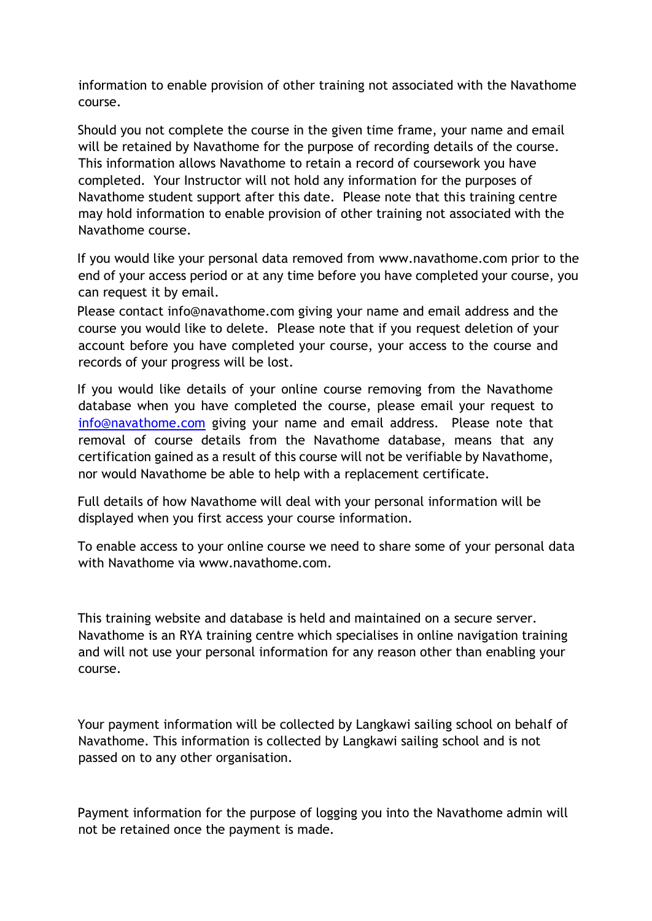information to enable provision of other training not associated with the Navathome course.

Should you not complete the course in the given time frame, your name and email will be retained by Navathome for the purpose of recording details of the course. This information allows Navathome to retain a record of coursework you have completed. Your Instructor will not hold any information for the purposes of Navathome student support after this date. Please note that this training centre may hold information to enable provision of other training not associated with the Navathome course.

If you would like your personal data removed from [www.navathome.com](http://www.navathome.com/) [pri](http://www.navathome.com/)or to the end of your access period or at any time before you have completed your course, you can request it by email.

Please contact info@navathome.com giving your name and email address and the course you would like to delete. Please note that if you request deletion of your account before you have completed your course, your access to the course and records of your progress will be lost.

If you would like details of your online course removing from the Navathome database when you have completed the course, please email your request to info@navathome.com giving your name and email address. Please note that removal of course details from the Navathome database, means that any certification gained as a result of this course will not be verifiable by Navathome, nor would Navathome be able to help with a replacement certificate.

Full details of how Navathome will deal with your personal information will be displayed when you first access your course information.

To enable access to your online course we need to share some of your personal data with Navathome via www.navathome.com.

This training website and database is held and maintained on a secure server. Navathome is an RYA training centre which specialises in online navigation training and will not use your personal information for any reason other than enabling your course.

Your payment information will be collected by Langkawi sailing school on behalf of Navathome. This information is collected by Langkawi sailing school and is not passed on to any other organisation.

Payment information for the purpose of logging you into the Navathome admin will not be retained once the payment is made.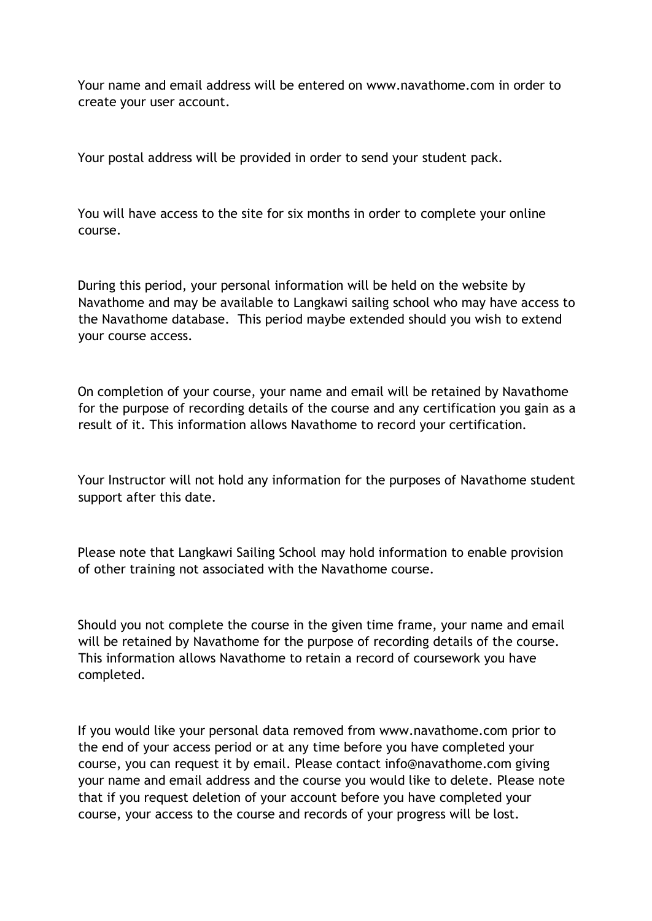Your name and email address will be entered on www.navathome.com in order to create your user account.

Your postal address will be provided in order to send your student pack.

You will have access to the site for six months in order to complete your online course.

During this period, your personal information will be held on the website by Navathome and may be available to Langkawi sailing school who may have access to the Navathome database. This period maybe extended should you wish to extend your course access.

On completion of your course, your name and email will be retained by Navathome for the purpose of recording details of the course and any certification you gain as a result of it. This information allows Navathome to record your certification.

Your Instructor will not hold any information for the purposes of Navathome student support after this date.

Please note that Langkawi Sailing School may hold information to enable provision of other training not associated with the Navathome course.

Should you not complete the course in the given time frame, your name and email will be retained by Navathome for the purpose of recording details of the course. This information allows Navathome to retain a record of coursework you have completed.

If you would like your personal data removed from www.navathome.com prior to the end of your access period or at any time before you have completed your course, you can request it by email. Please contact info@navathome.com giving your name and email address and the course you would like to delete. Please note that if you request deletion of your account before you have completed your course, your access to the course and records of your progress will be lost.